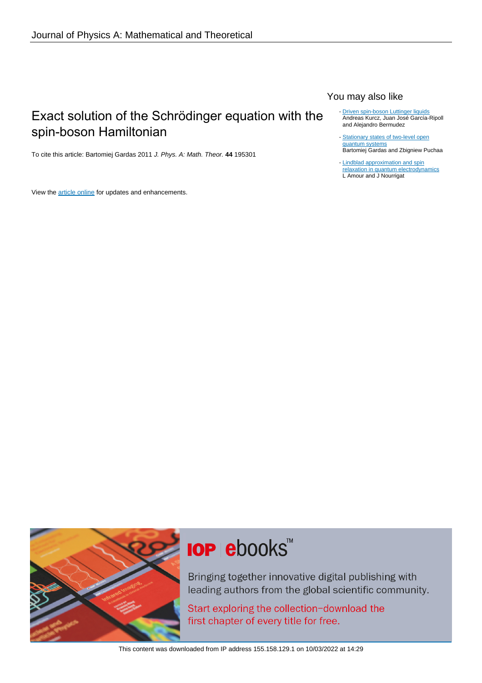## Exact solution of the Schrödinger equation with the spin-boson Hamiltonian

To cite this article: Bartomiej Gardas 2011 J. Phys. A: Math. Theor. **44** 195301

View the [article online](https://doi.org/10.1088/1751-8113/44/19/195301) for updates and enhancements.

### You may also like

- [Driven spin-boson Luttinger liquids](/article/10.1088/1367-2630/17/11/115011) Andreas Kurcz, Juan José García-Ripoll and Alejandro Bermudez -
- [Stationary states of two-level open](/article/10.1088/1751-8113/44/21/215306) [quantum systems](/article/10.1088/1751-8113/44/21/215306) Bartomiej Gardas and Zbigniew Puchaa
- [Lindblad approximation and spin](/article/10.1088/1751-8121/ab8e04) [relaxation in quantum electrodynamics](/article/10.1088/1751-8121/ab8e04) L Amour and J Nourrigat



# **IOP ebooks™**

Bringing together innovative digital publishing with leading authors from the global scientific community.

Start exploring the collection-download the first chapter of every title for free.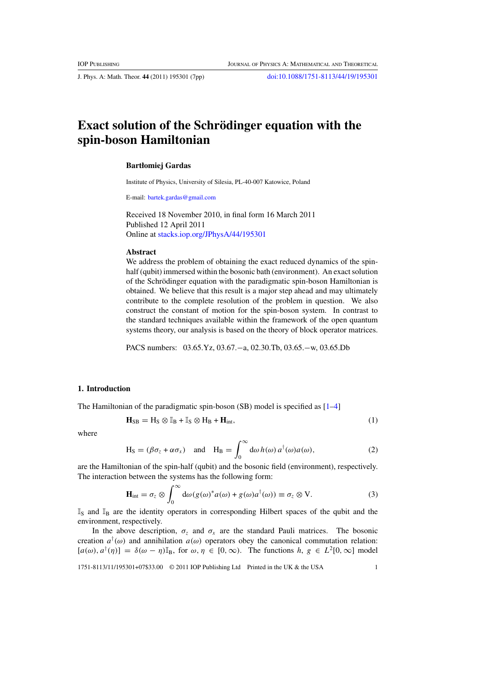<span id="page-1-0"></span>J. Phys. A: Math. Theor. **44** (2011) 195301 (7pp) [doi:10.1088/1751-8113/44/19/195301](http://dx.doi.org/10.1088/1751-8113/44/19/195301)

## **Exact solution of the Schrödinger equation with the spin-boson Hamiltonian**

#### **Bartłomiej Gardas**

Institute of Physics, University of Silesia, PL-40-007 Katowice, Poland

E-mail: [bartek.gardas@gmail.com](mailto:bartek.gardas@gmail.com)

Received 18 November 2010, in final form 16 March 2011 Published 12 April 2011 Online at [stacks.iop.org/JPhysA/44/195301](http://stacks.iop.org/JPhysA/44/195301)

#### **Abstract**

We address the problem of obtaining the exact reduced dynamics of the spinhalf (qubit) immersed within the bosonic bath (environment). An exact solution of the Schrödinger equation with the paradigmatic spin-boson Hamiltonian is obtained. We believe that this result is a major step ahead and may ultimately contribute to the complete resolution of the problem in question. We also construct the constant of motion for the spin-boson system. In contrast to the standard techniques available within the framework of the open quantum systems theory, our analysis is based on the theory of block operator matrices.

PACS numbers: 03.65.Yz, 03.67.−a, 02.30.Tb, 03.65.−w, 03.65.Db

#### **1. Introduction**

The Hamiltonian of the paradigmatic spin-boson (SB) model is specified as [\[1–4](#page-6-0)]

$$
\mathbf{H}_{\text{SB}} = \mathbf{H}_{\text{S}} \otimes \mathbb{I}_{\text{B}} + \mathbb{I}_{\text{S}} \otimes \mathbf{H}_{\text{B}} + \mathbf{H}_{\text{int}},\tag{1}
$$

where

$$
H_S = (\beta \sigma_z + \alpha \sigma_x) \quad \text{and} \quad H_B = \int_0^\infty d\omega \, h(\omega) \, a^\dagger(\omega) a(\omega), \tag{2}
$$

are the Hamiltonian of the spin-half (qubit) and the bosonic field (environment), respectively. The interaction between the systems has the following form:

$$
\mathbf{H}_{int} = \sigma_z \otimes \int_0^\infty d\omega (g(\omega)^* a(\omega) + g(\omega) a^\dagger(\omega)) \equiv \sigma_z \otimes \mathbf{V}.
$$
 (3)

 $\mathbb{I}_S$  and  $\mathbb{I}_B$  are the identity operators in corresponding Hilbert spaces of the qubit and the environment, respectively.

In the above description,  $\sigma_z$  and  $\sigma_x$  are the standard Pauli matrices. The bosonic creation  $a^{\dagger}(\omega)$  and annihilation  $a(\omega)$  operators obey the canonical commutation relation:  $[a(\omega), a^{\dagger}(\eta)] = \delta(\omega - \eta)\mathbb{I}_{\text{B}}$ , for  $\omega, \eta \in [0, \infty)$ . The functions  $h, g \in L^2[0, \infty]$  model

1751-8113/11/195301+07\$33.00 © 2011 IOP Publishing Ltd Printed in the UK & the USA 1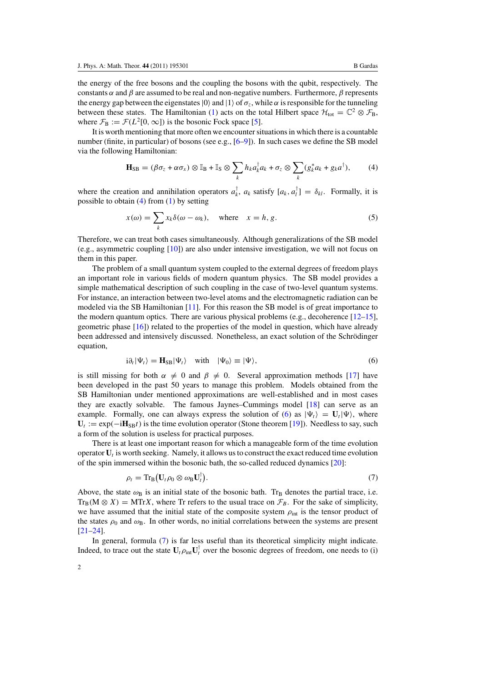<span id="page-2-0"></span>the energy of the free bosons and the coupling the bosons with the qubit, respectively. The constants  $\alpha$  and  $\beta$  are assumed to be real and non-negative numbers. Furthermore,  $\beta$  represents the energy gap between the eigenstates  $|0\rangle$  and  $|1\rangle$  of  $\sigma_z$ , while  $\alpha$  is responsible for the tunneling between these states. The Hamiltonian [\(1\)](#page-1-0) acts on the total Hilbert space  $\mathcal{H}_{tot} = \mathbb{C}^2 \otimes \mathcal{F}_{B}$ , where  $\mathcal{F}_{\text{B}} := \mathcal{F}(L^2[0,\infty])$  is the bosonic Fock space [\[5\]](#page-6-0).

It is worth mentioning that more often we encounter situations in which there is a countable number (finite, in particular) of bosons (see e.g., [\[6–9](#page-6-0)]). In such cases we define the SB model via the following Hamiltonian:

$$
\mathbf{H}_{\text{SB}} = (\beta \sigma_z + \alpha \sigma_x) \otimes \mathbb{I}_{\text{B}} + \mathbb{I}_{\text{S}} \otimes \sum_k h_k a_k^{\dagger} a_k + \sigma_z \otimes \sum_k (g_k^* a_k + g_k a^{\dagger}), \tag{4}
$$

where the creation and annihilation operators  $a_k^{\dagger}$ ,  $a_k$  satisfy  $[a_k, a_l^{\dagger}] = \delta_{kl}$ . Formally, it is possible to obtain  $(4)$  from  $(1)$  by setting

$$
x(\omega) = \sum_{k} x_k \delta(\omega - \omega_k), \quad \text{where} \quad x = h, g. \tag{5}
$$

Therefore, we can treat both cases simultaneously. Although generalizations of the SB model (e.g., asymmetric coupling [\[10\]](#page-6-0)) are also under intensive investigation, we will not focus on them in this paper.

The problem of a small quantum system coupled to the external degrees of freedom plays an important role in various fields of modern quantum physics. The SB model provides a simple mathematical description of such coupling in the case of two-level quantum systems. For instance, an interaction between two-level atoms and the electromagnetic radiation can be modeled via the SB Hamiltonian [\[11](#page-6-0)]. For this reason the SB model is of great importance to the modern quantum optics. There are various physical problems (e.g., decoherence  $[12-15]$ , geometric phase [\[16](#page-6-0)]) related to the properties of the model in question, which have already been addressed and intensively discussed. Nonetheless, an exact solution of the Schrödinger equation,

$$
i\partial_t |\Psi_t\rangle = \mathbf{H}_{\text{SB}} |\Psi_t\rangle \quad \text{with} \quad |\Psi_0\rangle \equiv |\Psi\rangle,\tag{6}
$$

is still missing for both  $\alpha \neq 0$  and  $\beta \neq 0$ . Several approximation methods [\[17](#page-6-0)] have been developed in the past 50 years to manage this problem. Models obtained from the SB Hamiltonian under mentioned approximations are well-established and in most cases they are exactly solvable. The famous Jaynes–Cummings model [\[18\]](#page-6-0) can serve as an example. Formally, one can always express the solution of (6) as  $|\Psi_t\rangle = U_t |\Psi\rangle$ , where  $U_t := \exp(-iH_{SB}t)$  is the time evolution operator (Stone theorem [\[19\]](#page-6-0)). Needless to say, such a form of the solution is useless for practical purposes.

There is at least one important reason for which a manageable form of the time evolution operator **U***<sup>t</sup>* is worth seeking. Namely, it allows us to construct the exact reduced time evolution of the spin immersed within the bosonic bath, the so-called reduced dynamics [\[20\]](#page-7-0):

$$
\rho_t = \text{Tr}_{\text{B}}\big(\mathbf{U}_t \rho_0 \otimes \omega_{\text{B}} \mathbf{U}_t^{\text{T}}\big). \tag{7}
$$

Above, the state  $\omega_B$  is an initial state of the bosonic bath. Tr<sub>B</sub> denotes the partial trace, i.e.  $Tr_B(M \otimes X) = MTrX$ , where Tr refers to the usual trace on  $\mathcal{F}_B$ . For the sake of simplicity, we have assumed that the initial state of the composite system  $\rho_{\text{int}}$  is the tensor product of the states  $\rho_0$  and  $\omega_B$ . In other words, no initial correlations between the systems are present [\[21–24](#page-7-0)].

In general, formula (7) is far less useful than its theoretical simplicity might indicate. Indeed, to trace out the state  $U_t \rho_{int} U_t^{\dagger}$  over the bosonic degrees of freedom, one needs to (i)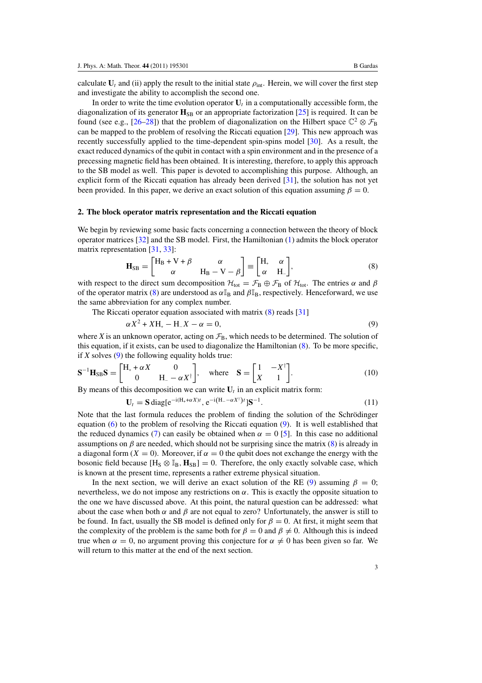<span id="page-3-0"></span>calculate  $U_t$  and (ii) apply the result to the initial state  $\rho_{int}$ . Herein, we will cover the first step and investigate the ability to accomplish the second one.

In order to write the time evolution operator  $U_t$  in a computationally accessible form, the diagonalization of its generator  $\mathbf{H}_{\text{SB}}$  or an appropriate factorization [\[25](#page-7-0)] is required. It can be found (see e.g., [\[26–28\]](#page-7-0)) that the problem of diagonalization on the Hilbert space  $\mathbb{C}^2 \otimes \mathcal{F}_B$ can be mapped to the problem of resolving the Riccati equation [\[29\]](#page-7-0). This new approach was recently successfully applied to the time-dependent spin-spins model [\[30\]](#page-7-0). As a result, the exact reduced dynamics of the qubit in contact with a spin environment and in the presence of a precessing magnetic field has been obtained. It is interesting, therefore, to apply this approach to the SB model as well. This paper is devoted to accomplishing this purpose. Although, an explicit form of the Riccati equation has already been derived [\[31\]](#page-7-0), the solution has not yet been provided. In this paper, we derive an exact solution of this equation assuming  $\beta = 0$ .

#### **2. The block operator matrix representation and the Riccati equation**

We begin by reviewing some basic facts concerning a connection between the theory of block operator matrices [\[32\]](#page-7-0) and the SB model. First, the Hamiltonian [\(1\)](#page-1-0) admits the block operator matrix representation [\[31,](#page-7-0) [33\]](#page-7-0):

$$
\mathbf{H}_{\text{SB}} = \begin{bmatrix} H_{\text{B}} + V + \beta & \alpha \\ \alpha & H_{\text{B}} - V - \beta \end{bmatrix} \equiv \begin{bmatrix} H_{\cdot} & \alpha \\ \alpha & H_{\cdot} \end{bmatrix},\tag{8}
$$

with respect to the direct sum decomposition  $\mathcal{H}_{\text{tot}} = \mathcal{F}_{\text{B}} \oplus \mathcal{F}_{\text{B}}$  of  $\mathcal{H}_{\text{tot}}$ . The entries  $\alpha$  and  $\beta$ of the operator matrix (8) are understood as  $\alpha \mathbb{I}_{\text{B}}$  and  $\beta \mathbb{I}_{\text{B}}$ , respectively. Henceforward, we use the same abbreviation for any complex number.

The Riccati operator equation associated with matrix (8) reads [31]  

$$
\alpha X^2 + XH_+ - H_-X - \alpha = 0,
$$
 (9)

where *X* is an unknown operator, acting on  $\mathcal{F}_B$ , which needs to be determined. The solution of this equation, if it exists, can be used to diagonalize the Hamiltonian (8). To be more specific, if  $X$  solves  $(9)$  the following equality holds true:

$$
\mathbf{S}^{-1}\mathbf{H}_{\text{SB}}\mathbf{S} = \begin{bmatrix} \mathbf{H}_{+} + \alpha X & 0\\ 0 & \mathbf{H}_{-} - \alpha X^{\dagger} \end{bmatrix}, \text{ where } \mathbf{S} = \begin{bmatrix} 1 & -X^{\dagger}\\ X & 1 \end{bmatrix}. \tag{10}
$$

By means of this decomposition we can write  $U_t$  in an explicit matrix form:

$$
\mathbf{U}_t = \mathbf{S} \operatorname{diag}[\mathrm{e}^{-\mathrm{i}(\mathbf{H}_+ + \alpha X)t}, \mathrm{e}^{-\mathrm{i}(\mathbf{H}_- - \alpha X^\dagger)t}] \mathbf{S}^{-1}.
$$
\n(11)

Note that the last formula reduces the problem of finding the solution of the Schrödinger equation [\(6\)](#page-2-0) to the problem of resolving the Riccati equation (9). It is well established that the reduced dynamics [\(7\)](#page-2-0) can easily be obtained when  $\alpha = 0$  [\[5\]](#page-6-0). In this case no additional assumptions on  $\beta$  are needed, which should not be surprising since the matrix (8) is already in a diagonal form  $(X = 0)$ . Moreover, if  $\alpha = 0$  the qubit does not exchange the energy with the bosonic field because  $[H_S \otimes \mathbb{I}_B, H_{SB}] = 0$ . Therefore, the only exactly solvable case, which is known at the present time, represents a rather extreme physical situation.

In the next section, we will derive an exact solution of the RE (9) assuming  $\beta = 0$ ; nevertheless, we do not impose any restrictions on *α*. This is exactly the opposite situation to the one we have discussed above. At this point, the natural question can be addressed: what about the case when both  $\alpha$  and  $\beta$  are not equal to zero? Unfortunately, the answer is still to be found. In fact, usually the SB model is defined only for  $\beta = 0$ . At first, it might seem that the complexity of the problem is the same both for  $\beta = 0$  and  $\beta \neq 0$ . Although this is indeed true when  $\alpha = 0$ , no argument proving this conjecture for  $\alpha \neq 0$  has been given so far. We will return to this matter at the end of the next section.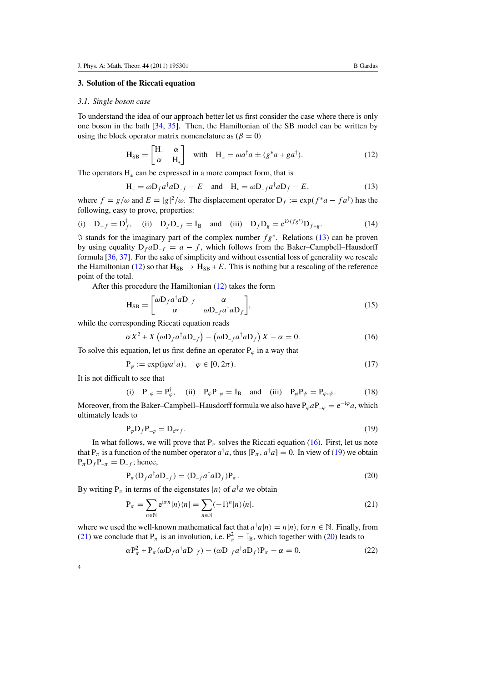#### <span id="page-4-0"></span>**3. Solution of the Riccati equation**

#### *3.1. Single boson case*

To understand the idea of our approach better let us first consider the case where there is only one boson in the bath [\[34](#page-7-0), [35](#page-7-0)]. Then, the Hamiltonian of the SB model can be written by using the block operator matrix nomenclature as  $(\beta = 0)$ 

$$
\mathbf{H}_{\text{SB}} = \begin{bmatrix} \mathbf{H}_{-} & \alpha \\ \alpha & \mathbf{H}_{+} \end{bmatrix} \quad \text{with} \quad \mathbf{H}_{\pm} = \omega a^{\dagger} a \pm (g^* a + g a^{\dagger}). \tag{12}
$$

The operators  $H_{\pm}$  can be expressed in a more compact form, that is

$$
H_{-} = \omega D_f a^{\dagger} a D_{-f} - E \quad \text{and} \quad H_{+} = \omega D_{-f} a^{\dagger} a D_{f} - E, \tag{13}
$$

where  $f = g/\omega$  and  $E = |g|^2/\omega$ . The displacement operator  $D_f := \exp(f^*a - fa^{\dagger})$  has the following, easy to prove, properties:

(i) 
$$
D_{-f} = D_f^{\dagger}
$$
, (ii)  $D_f D_{-f} = I_B$  and (iii)  $D_f D_g = e^{iS(fg^*)} D_{f+g}$ . (14)

 stands for the imaginary part of the complex number *fg*<sup>∗</sup>. Relations (13) can be proven by using equality  $D_f a D_f = a - f$ , which follows from the Baker–Campbell–Hausdorff formula [\[36,](#page-7-0) [37\]](#page-7-0). For the sake of simplicity and without essential loss of generality we rescale the Hamiltonian (12) so that  $H_{SB} \rightarrow H_{SB} + E$ . This is nothing but a rescaling of the reference point of the total.

After this procedure the Hamiltonian (12) takes the form

$$
\mathbf{H}_{\text{SB}} = \begin{bmatrix} \omega \mathbf{D}_f a^\dagger a \mathbf{D}_{-f} & \alpha \\ \alpha & \omega \mathbf{D}_{-f} a^\dagger a \mathbf{D}_f \end{bmatrix},\tag{15}
$$

while the corresponding Riccati equation reads

$$
\alpha X^2 + X \left( \omega D_f a^\dagger a D_{-f} \right) - \left( \omega D_{-f} a^\dagger a D_f \right) X - \alpha = 0. \tag{16}
$$

To solve this equation, let us first define an operator  $P_\varphi$  in a way that

$$
\mathbf{P}_{\varphi} := \exp(i\varphi a^{\dagger} a), \quad \varphi \in [0, 2\pi). \tag{17}
$$

It is not difficult to see that

(i) 
$$
P_{-\varphi} = P_{\varphi}^{\dagger}
$$
, (ii)  $P_{\varphi}P_{-\varphi} = I_B$  and (iii)  $P_{\varphi}P_{\psi} = P_{\varphi \ast \psi}$ . (18)

Moreover, from the Baker–Campbell–Hausdorff formula we also have  $P_{\varphi}aP_{-\varphi} = e^{-i\varphi}a$ , which ultimately leads to

$$
P_{\varphi} D_f P_{-\varphi} = D_{e^{\mathrm{i}\varphi} f}.
$$
\n(19)

In what follows, we will prove that  $P_\pi$  solves the Riccati equation (16). First, let us note that  $P_{\pi}$  is a function of the number operator  $a^{\dagger}a$ , thus  $[P_{\pi}, a^{\dagger}a] = 0$ . In view of (19) we obtain  $P_{\pi}D_{f}P_{-\pi} = D_{-f}$ ; hence,

$$
P_{\pi}(D_f a^{\dagger} a D_{-f}) = (D_{-f} a^{\dagger} a D_f) P_{\pi}.
$$
\n(20)

By writing  $P_{\pi}$  in terms of the eigenstates  $|n\rangle$  of  $a^{\dagger}a$  we obtain

$$
P_{\pi} = \sum_{n \in \mathbb{N}} e^{i\pi n} |n\rangle\langle n| = \sum_{n \in \mathbb{N}} (-1)^n |n\rangle\langle n|,\tag{21}
$$

where we used the well-known mathematical fact that  $a^{\dagger}a|n\rangle = n|n\rangle$ , for  $n \in \mathbb{N}$ . Finally, from (21) we conclude that  $P_{\pi}$  is an involution, i.e.  $P_{\pi}^2 = \mathbb{I}_B$ , which together with (20) leads to

$$
\alpha P_{\pi}^2 + P_{\pi}(\omega D_f a^{\dagger} a D_{-f}) - (\omega D_{-f} a^{\dagger} a D_f) P_{\pi} - \alpha = 0. \qquad (22)
$$

4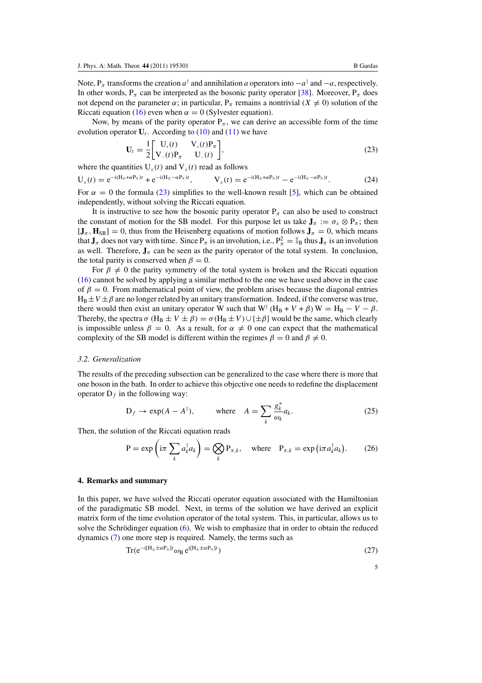Note,  $P_{\pi}$  transforms the creation  $a^{\dagger}$  and annihilation *a* operators into  $-a^{\dagger}$  and  $-a$ , respectively. In other words,  $P_{\pi}$  can be interpreted as the bosonic parity operator [\[38](#page-7-0)]. Moreover,  $P_{\pi}$  does not depend on the parameter  $\alpha$ ; in particular,  $P_\pi$  remains a nontrivial ( $X \neq 0$ ) solution of the Riccati equation [\(16\)](#page-4-0) even when  $\alpha = 0$  (Sylvester equation).

Now, by means of the parity operator  $P_\pi$ , we can derive an accessible form of the time evolution operator  $U_t$ . According to [\(10\)](#page-3-0) and [\(11\)](#page-3-0) we have

$$
\mathbf{U}_{t} = \frac{1}{2} \begin{bmatrix} \mathbf{U}_{+}(t) & \mathbf{V}_{+}(t)\mathbf{P}_{\pi} \\ \mathbf{V}_{-}(t)\mathbf{P}_{\pi} & \mathbf{U}_{-}(t) \end{bmatrix},\tag{23}
$$

where the quantities  $U_{+}(t)$  and  $V_{+}(t)$  read as follows

$$
U_{\pm}(t) = e^{-i(H_{\pm} + \alpha P_{\pi})t} + e^{-i(H_{\pm} - \alpha P_{\pi})t}, \qquad V_{\pm}(t) = e^{-i(H_{\pm} + \alpha P_{\pi})t} - e^{-i(H_{\pm} - \alpha P_{\pi})t}.
$$
 (24)

For  $\alpha = 0$  the formula (23) simplifies to the well-known result [\[5\]](#page-6-0), which can be obtained independently, without solving the Riccati equation.

It is instructive to see how the bosonic parity operator  $P_{\pi}$  can also be used to construct the constant of motion for the SB model. For this purpose let us take  $J_{\pi} := \sigma_x \otimes P_{\pi}$ ; then  $[\mathbf{J}_{\pi}, \mathbf{H}_{\text{SB}}] = 0$ , thus from the Heisenberg equations of motion follows  $\mathbf{j}_{\pi} = 0$ , which means that  $J_{\pi}$  does not vary with time. Since  $P_{\pi}$  is an involution, i.e.,  $P_{\pi}^2 = \mathbb{I}_B$  thus  $J_{\pi}$  is an involution as well. Therefore,  $J_{\pi}$  can be seen as the parity operator of the total system. In conclusion, the total parity is conserved when  $\beta = 0$ .

For  $\beta \neq 0$  the parity symmetry of the total system is broken and the Riccati equation [\(16\)](#page-4-0) cannot be solved by applying a similar method to the one we have used above in the case of  $\beta = 0$ . From mathematical point of view, the problem arises because the diagonal entries  $H_B \pm V \pm \beta$  are no longer related by an unitary transformation. Indeed, if the converse was true, there would then exist an unitary operator W such that  $W^{\dagger} (H_B + V + \beta) W = H_B - V - \beta$ . Thereby, the spectra  $\sigma$  (H<sub>B</sub>  $\pm$  *V*  $\pm$  *β*) =  $\sigma$ (H<sub>B</sub>  $\pm$  *V*) $\cup$ { $\pm$ *β*} would be the same, which clearly is impossible unless  $\beta = 0$ . As a result, for  $\alpha \neq 0$  one can expect that the mathematical complexity of the SB model is different within the regimes  $\beta = 0$  and  $\beta \neq 0$ .

#### *3.2. Generalization*

The results of the preceding subsection can be generalized to the case where there is more that one boson in the bath. In order to achieve this objective one needs to redefine the displacement operator  $D_f$  in the following way:

$$
D_f \to \exp(A - A^{\dagger}), \qquad \text{where} \quad A = \sum_k \frac{g_k^*}{\omega_k} a_k. \tag{25}
$$

Then, the solution of the Riccati equation reads

$$
P = \exp\left(i\pi \sum_{k} a_{k}^{\dagger} a_{k}\right) = \bigotimes_{k} P_{\pi,k}, \quad \text{where} \quad P_{\pi,k} = \exp\left(i\pi a_{k}^{\dagger} a_{k}\right). \tag{26}
$$

#### **4. Remarks and summary**

In this paper, we have solved the Riccati operator equation associated with the Hamiltonian of the paradigmatic SB model. Next, in terms of the solution we have derived an explicit matrix form of the time evolution operator of the total system. This, in particular, allows us to solve the Schrödinger equation  $(6)$  $(6)$ . We wish to emphasize that in order to obtain the reduced dynamics [\(7\)](#page-2-0) one more step is required. Namely, the terms such as

$$
\operatorname{Tr}(e^{-i[H_{\pm}\pm\alpha P_{\pi}]t}\omega_B e^{i[H_{\pm}\pm\alpha P_{\pi}]t})
$$
\n(27)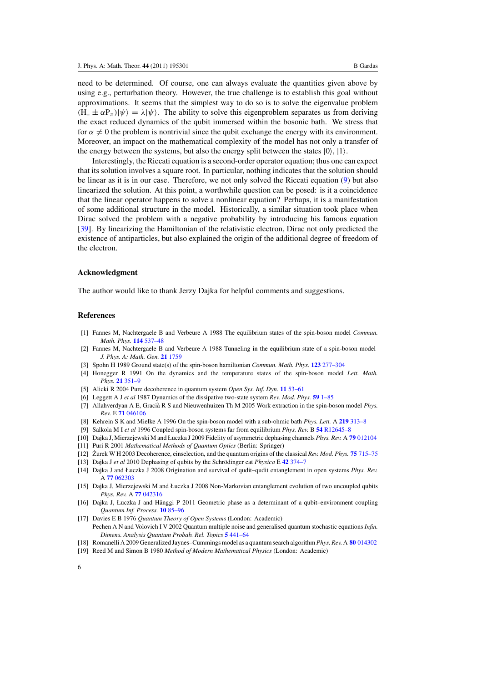<span id="page-6-0"></span>need to be determined. Of course, one can always evaluate the quantities given above by using e.g., perturbation theory. However, the true challenge is to establish this goal without approximations. It seems that the simplest way to do so is to solve the eigenvalue problem  $(H_{+} \pm \alpha P_{\pi}) |\psi\rangle = \lambda |\psi\rangle$ . The ability to solve this eigenproblem separates us from deriving the exact reduced dynamics of the qubit immersed within the bosonic bath. We stress that for  $\alpha \neq 0$  the problem is nontrivial since the qubit exchange the energy with its environment. Moreover, an impact on the mathematical complexity of the model has not only a transfer of the energy between the systems, but also the energy split between the states  $|0\rangle$ ,  $|1\rangle$ .

Interestingly, the Riccati equation is a second-order operator equation; thus one can expect that its solution involves a square root. In particular, nothing indicates that the solution should be linear as it is in our case. Therefore, we not only solved the Riccati equation [\(9\)](#page-3-0) but also linearized the solution. At this point, a worthwhile question can be posed: is it a coincidence that the linear operator happens to solve a nonlinear equation? Perhaps, it is a manifestation of some additional structure in the model. Historically, a similar situation took place when Dirac solved the problem with a negative probability by introducing his famous equation [\[39](#page-7-0)]. By linearizing the Hamiltonian of the relativistic electron, Dirac not only predicted the existence of antiparticles, but also explained the origin of the additional degree of freedom of the electron.

#### **Acknowledgment**

The author would like to thank Jerzy Dajka for helpful comments and suggestions.

#### **References**

- [1] Fannes M, Nachtergaele B and Verbeure A 1988 The equilibrium states of the spin-boson model *Commun. Math. Phys.* **114** [537–48](http://dx.doi.org/10.1007/BF01229453)
- [2] Fannes M, Nachtergaele B and Verbeure A 1988 Tunneling in the equilibrium state of a spin-boson model *J. Phys. A: Math. Gen.* **21** [1759](http://dx.doi.org/10.1088/0305-4470/21/8/012)
- [3] Spohn H 1989 Ground state(s) of the spin-boson hamiltonian *Commun. Math. Phys.* **123** [277–304](http://dx.doi.org/10.1007/BF01238859)
- [4] Honegger R 1991 On the dynamics and the temperature states of the spin-boson model *Lett. Math. Phys.* **21** [351–9](http://dx.doi.org/10.1007/BF00398333)
- [5] Alicki R 2004 Pure decoherence in quantum system *Open Sys. Inf. Dyn.* **11** [53–61](http://dx.doi.org/10.1023/B:OPSY.0000024755.58888.ac)
- [6] Leggett A J *et al* 1987 Dynamics of the dissipative two-state system *Rev. Mod. Phys.* **59** [1–85](http://dx.doi.org/10.1103/RevModPhys.59.1)
- [7] Allahverdyan A E, Gracià R S and Nieuwenhuizen Th M 2005 Work extraction in the spin-boson model *Phys. Rev.* E **71** [046106](http://dx.doi.org/10.1103/PhysRevE.71.046106)
- [8] Kehrein S K and Mielke A 1996 On the spin-boson model with a sub-ohmic bath *Phys. Lett.* A **219** [313–8](http://dx.doi.org/10.1016/0375-9601(96)00475-6)
- [9] Salkola M I *et al* 1996 Coupled spin-boson systems far from equilibrium *Phys. Rev.* B **54** [R12645–8](http://dx.doi.org/10.1103/PhysRevB.54.R12645)
- [10] Dajka J, Mierzejewski M and Łuczka J 2009 Fidelity of asymmetric dephasing channels *Phys. Rev.* A **79** [012104](http://dx.doi.org/10.1103/PhysRevA.79.012104)
- [11] Puri R 2001 *Mathematical Methods of Quantum Optics* (Berlin: Springer)
- [12] Zurek W H 2003 Decoherence, einselection, and the quantum origins of the classical *Rev. Mod. Phys.* **75** [715–75](http://dx.doi.org/10.1103/RevModPhys.75.715)
- [13] Dajka J et al 2010 Dephasing of qubits by the Schrödinger cat *Physica* E 42 [374–7](http://dx.doi.org/10.1016/j.physe.2009.06.080)
- [14] Dajka J and Łuczka J 2008 Origination and survival of qudit–qudit entanglement in open systems *Phys. Rev.* A **77** [062303](http://dx.doi.org/10.1103/PhysRevA.77.062303)
- [15] Dajka J, Mierzejewski M and Łuczka J 2008 Non-Markovian entanglement evolution of two uncoupled qubits *Phys. Rev.* A **77** [042316](http://dx.doi.org/10.1103/PhysRevA.77.042316)
- [16] Dajka J, Łuczka J and Hänggi P 2011 Geometric phase as a determinant of a qubit–environment coupling *Quantum Inf. Process.* **10** [85–96](http://dx.doi.org/10.1007/s11128-010-0178-x)
- [17] Davies E B 1976 *Quantum Theory of Open Systems* (London: Academic) Pechen A N and Volovich I V 2002 Quantum multiple noise and generalised quantum stochastic equations *Infin. Dimens. Analysis Quantum Probab. Rel. Topics* **5** [441–64](http://dx.doi.org/10.1142/S0219025702000857)
- [18] Romanelli A 2009 Generalized Jaynes–Cummings model as a quantum search algorithm*Phys. Rev.* A **80** [014302](http://dx.doi.org/10.1103/PhysRevA.80.014302)
- [19] Reed M and Simon B 1980 *Method of Modern Mathematical Physics* (London: Academic)